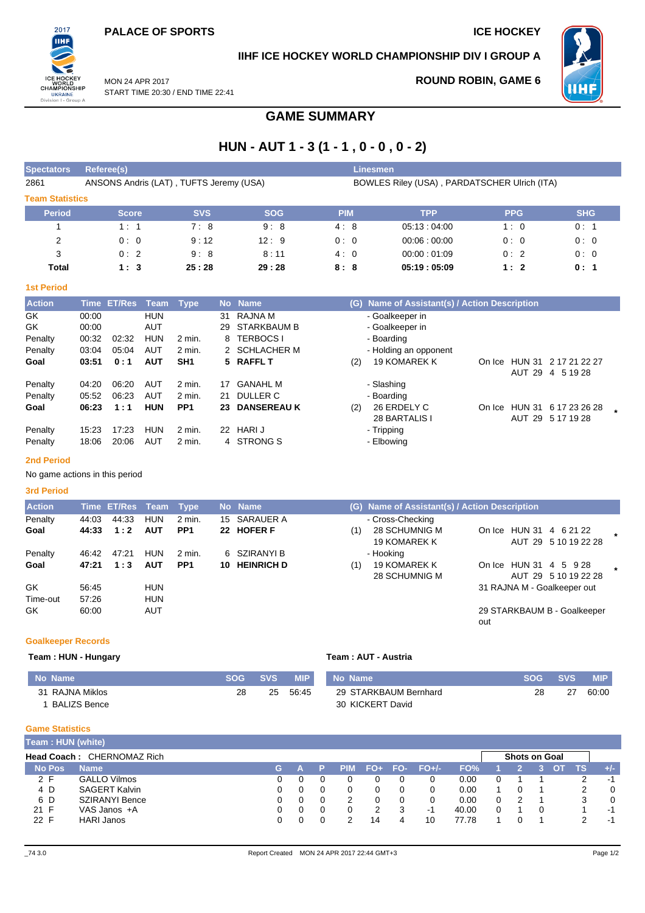MON 24 APR 2017

**ROUND ROBIN, GAME 6**



# **IIHF ICE HOCKEY WORLD CHAMPIONSHIP DIV I GROUP A**



START TIME 20:30 / END TIME 22:41

# **GAME SUMMARY**

# **HUN - AUT 1 - 3 (1 - 1 , 0 - 0 , 0 - 2)**

| <b>Spectators</b>      | Referee(s)                              |            |            |            | Linesmen                                     |            |            |  |  |  |  |  |  |
|------------------------|-----------------------------------------|------------|------------|------------|----------------------------------------------|------------|------------|--|--|--|--|--|--|
| 2861                   | ANSONS Andris (LAT), TUFTS Jeremy (USA) |            |            |            | BOWLES Riley (USA), PARDATSCHER Ulrich (ITA) |            |            |  |  |  |  |  |  |
| <b>Team Statistics</b> |                                         |            |            |            |                                              |            |            |  |  |  |  |  |  |
| <b>Period</b>          | <b>Score</b>                            | <b>SVS</b> | <b>SOG</b> | <b>PIM</b> | <b>TPP</b>                                   | <b>PPG</b> | <b>SHG</b> |  |  |  |  |  |  |
|                        | 1:1                                     | 7:8        | 9:8        | 4:8        | 05:13:04:00                                  | 1:0        | 0:1        |  |  |  |  |  |  |
| 2                      | 0:0                                     | 9:12       | 12:9       | 0:0        | 00.06:00.00                                  | 0:0        | 0:0        |  |  |  |  |  |  |
| 3                      | 0:2                                     | 9:8        | 8:11       | 4:0        | 00:00:01:09                                  | 0:2        | 0:0        |  |  |  |  |  |  |
| Total                  | 1:3                                     | 25:28      | 29:28      | 8:8        | 05:19:05:09                                  | 1:2        | 0:1        |  |  |  |  |  |  |

### **1st Period**

| <b>Action</b> |       | Time ET/Res | Team       | <b>Type</b>     |    | No Name            |     | (G) Name of Assistant(s) / Action Description |        |               |                      |  |
|---------------|-------|-------------|------------|-----------------|----|--------------------|-----|-----------------------------------------------|--------|---------------|----------------------|--|
| GK.           | 00:00 |             | <b>HUN</b> |                 | 31 | RAJNA M            |     | - Goalkeeper in                               |        |               |                      |  |
| GK            | 00:00 |             | AUT        |                 | 29 | STARKBAUM B        |     | - Goalkeeper in                               |        |               |                      |  |
| Penalty       | 00:32 | 02:32       | <b>HUN</b> | 2 min.          |    | 8 TERBOCS I        |     | - Boarding                                    |        |               |                      |  |
| Penalty       | 03:04 | 05:04       | AUT        | 2 min.          |    | 2 SCHLACHER M      |     | - Holding an opponent                         |        |               |                      |  |
| Goal          | 03:51 | 0:1         | <b>AUT</b> | SH <sub>1</sub> |    | 5 RAFFL T          | (2) | <b>19 KOMAREK K</b>                           | On Ice |               | HUN 31 2 17 21 22 27 |  |
|               |       |             |            |                 |    |                    |     |                                               |        | AUT 29        | 4 5 19 28            |  |
| Penalty       | 04:20 | 06:20       | AUT        | 2 min.          | 17 | <b>GANAHL M</b>    |     | - Slashing                                    |        |               |                      |  |
| Penalty       | 05:52 | 06:23       | <b>AUT</b> | 2 min.          | 21 | DULLER C           |     | - Boarding                                    |        |               |                      |  |
| Goal          | 06:23 | 1:1         | <b>HUN</b> | PP <sub>1</sub> | 23 | <b>DANSEREAU K</b> | (2) | 26 ERDELY C                                   | On Ice | <b>HUN 31</b> | 6 17 23 26 28        |  |
|               |       |             |            |                 |    |                    |     | 28 BARTALIS I                                 |        | AUT 29        | 5 17 19 28           |  |
| Penalty       | 15:23 | 17:23       | <b>HUN</b> | 2 min.          | 22 | <b>HARIJ</b>       |     | - Tripping                                    |        |               |                      |  |
| Penalty       | 18:06 | 20:06       | AUT        | 2 min.          |    | 4 STRONG S         |     | - Elbowing                                    |        |               |                      |  |

### **2nd Period**

No game actions in this period

### **3rd Period**

| <b>Action</b> |       | Time ET/Res Team Type |            |                 | No Name       | (G) Name of Assistant(s) / Action Description                                                  |
|---------------|-------|-----------------------|------------|-----------------|---------------|------------------------------------------------------------------------------------------------|
| Penalty       | 44:03 | 44:33                 | <b>HUN</b> | $2$ min.        | 15 SARAUER A  | - Cross-Checking                                                                               |
| Goal          | 44:33 | 1:2                   | <b>AUT</b> | PP <sub>1</sub> | 22 HOFER F    | 28 SCHUMNIG M<br>On Ice HUN 31 4 6 21 22<br>(1)<br>AUT 29 5 10 19 22 28<br><b>19 KOMAREK K</b> |
| Penalty       | 46:42 | 47:21                 | <b>HUN</b> | 2 min.          | 6 SZIRANYI B  | - Hooking                                                                                      |
| Goal          | 47:21 | 1:3                   | <b>AUT</b> | PP <sub>1</sub> | 10 HEINRICH D | 19 KOMAREK K<br>On Ice HUN 31 4 5 9 28<br>(1)<br>AUT 29 5 10 19 22 28<br>28 SCHUMNIG M         |
| GK            | 56:45 |                       | <b>HUN</b> |                 |               | 31 RAJNA M - Goalkeeper out                                                                    |
| Time-out      | 57:26 |                       | <b>HUN</b> |                 |               |                                                                                                |
| GK.           | 60:00 |                       | <b>AUT</b> |                 |               | 29 STARKBAUM B - Goalkeeper<br>out                                                             |

### **Goalkeeper Records**

### **Team : HUN - Hungary Team : AUT - Austria**

| <b>No Name</b>  | <b>SOG</b> | <b>SVS</b> | <b>MIP</b> | No Name               | <b>SOG</b> | <b>SVS</b> | MIP   |
|-----------------|------------|------------|------------|-----------------------|------------|------------|-------|
| 31 RAJNA Miklos | 28         | 25         | 56:45      | 29 STARKBAUM Bernhard | 28         | 27         | 60:00 |
| BALIZS Bence    |            |            |            | 30 KICKERT David      |            |            |       |

### **Game Statistics**

| <b>Team : HUN (white)</b>  |                       |    |  |  |            |       |     |         |       |  |  |                      |  |     |       |  |
|----------------------------|-----------------------|----|--|--|------------|-------|-----|---------|-------|--|--|----------------------|--|-----|-------|--|
| Head Coach: CHERNOMAZ Rich |                       |    |  |  |            |       |     |         |       |  |  | <b>Shots on Goal</b> |  |     |       |  |
| <b>No Pos</b>              | <b>Name</b>           | G. |  |  | <b>PIM</b> | $FO+$ | FO- | $FO+/-$ | FO%   |  |  |                      |  | TS. | $+/-$ |  |
| 2 F                        | <b>GALLO Vilmos</b>   |    |  |  |            |       |     |         | 0.00  |  |  |                      |  |     | -1    |  |
| 4 D                        | <b>SAGERT Kalvin</b>  |    |  |  |            |       |     |         | 0.00  |  |  |                      |  |     |       |  |
| 6 D                        | <b>SZIRANYI Bence</b> |    |  |  |            |       |     |         | 0.00  |  |  |                      |  | 3   |       |  |
| 21 F                       | VAS Janos +A          | 0  |  |  |            |       | 3   | -1      | 40.00 |  |  |                      |  |     | $-1$  |  |
| 22 F                       | <b>HARI Janos</b>     |    |  |  |            | 14    |     | 10      | 77.78 |  |  |                      |  |     | -1    |  |